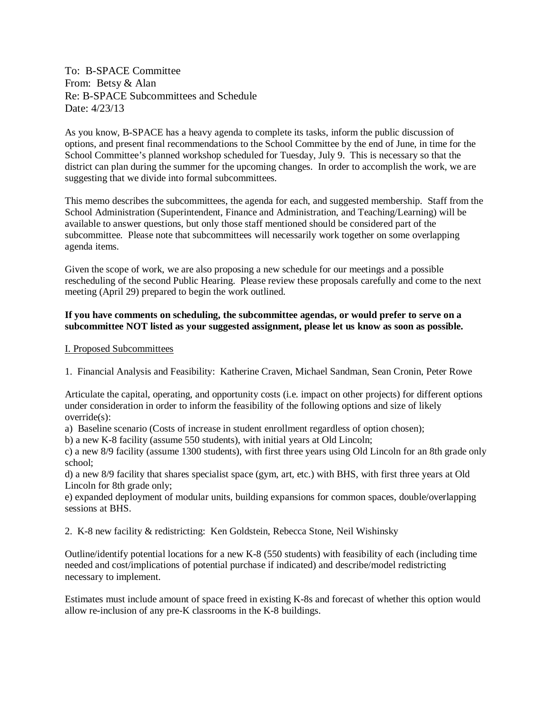To: B-SPACE Committee From: Betsy & Alan Re: B-SPACE Subcommittees and Schedule Date: 4/23/13

As you know, B-SPACE has a heavy agenda to complete its tasks, inform the public discussion of options, and present final recommendations to the School Committee by the end of June, in time for the School Committee's planned workshop scheduled for Tuesday, July 9. This is necessary so that the district can plan during the summer for the upcoming changes. In order to accomplish the work, we are suggesting that we divide into formal subcommittees.

This memo describes the subcommittees, the agenda for each, and suggested membership. Staff from the School Administration (Superintendent, Finance and Administration, and Teaching/Learning) will be available to answer questions, but only those staff mentioned should be considered part of the subcommittee. Please note that subcommittees will necessarily work together on some overlapping agenda items.

Given the scope of work, we are also proposing a new schedule for our meetings and a possible rescheduling of the second Public Hearing. Please review these proposals carefully and come to the next meeting (April 29) prepared to begin the work outlined.

## **If you have comments on scheduling, the subcommittee agendas, or would prefer to serve on a subcommittee NOT listed as your suggested assignment, please let us know as soon as possible.**

## I. Proposed Subcommittees

1. Financial Analysis and Feasibility: Katherine Craven, Michael Sandman, Sean Cronin, Peter Rowe

Articulate the capital, operating, and opportunity costs (i.e. impact on other projects) for different options under consideration in order to inform the feasibility of the following options and size of likely override(s):

a) Baseline scenario (Costs of increase in student enrollment regardless of option chosen);

b) a new K-8 facility (assume 550 students), with initial years at Old Lincoln;

c) a new 8/9 facility (assume 1300 students), with first three years using Old Lincoln for an 8th grade only school;

d) a new 8/9 facility that shares specialist space (gym, art, etc.) with BHS, with first three years at Old Lincoln for 8th grade only;

e) expanded deployment of modular units, building expansions for common spaces, double/overlapping sessions at **BHS**.

2. K-8 new facility & redistricting: Ken Goldstein, Rebecca Stone, Neil Wishinsky

Outline/identify potential locations for a new K-8 (550 students) with feasibility of each (including time needed and cost/implications of potential purchase if indicated) and describe/model redistricting necessary to implement.

Estimates must include amount of space freed in existing K-8s and forecast of whether this option would allow re-inclusion of any pre-K classrooms in the K-8 buildings.